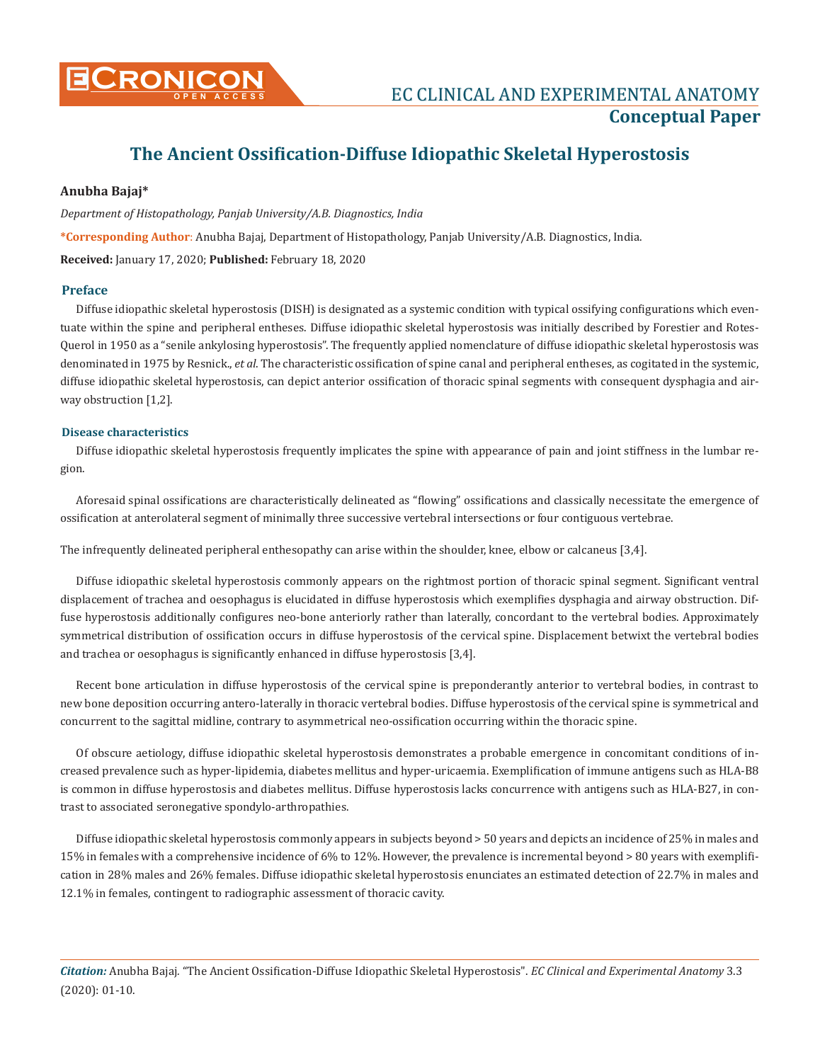

# **CRONICON EC CLINICAL AND EXPERIMENTAL ANATOMY Conceptual Paper**

# **The Ancient Ossification-Diffuse Idiopathic Skeletal Hyperostosis**

# **Anubha Bajaj\***

# *Department of Histopathology, Panjab University/A.B. Diagnostics, India*

**\*Corresponding Author**: Anubha Bajaj, Department of Histopathology, Panjab University/A.B. Diagnostics, India. **Received:** January 17, 2020; **Published:** February 18, 2020

# **Preface**

Diffuse idiopathic skeletal hyperostosis (DISH) is designated as a systemic condition with typical ossifying configurations which eventuate within the spine and peripheral entheses. Diffuse idiopathic skeletal hyperostosis was initially described by Forestier and Rotes-Querol in 1950 as a "senile ankylosing hyperostosis". The frequently applied nomenclature of diffuse idiopathic skeletal hyperostosis was denominated in 1975 by Resnick., *et al*. The characteristic ossification of spine canal and peripheral entheses, as cogitated in the systemic, diffuse idiopathic skeletal hyperostosis, can depict anterior ossification of thoracic spinal segments with consequent dysphagia and airway obstruction [1,2].

# **Disease characteristics**

Diffuse idiopathic skeletal hyperostosis frequently implicates the spine with appearance of pain and joint stiffness in the lumbar region.

Aforesaid spinal ossifications are characteristically delineated as "flowing" ossifications and classically necessitate the emergence of ossification at anterolateral segment of minimally three successive vertebral intersections or four contiguous vertebrae.

The infrequently delineated peripheral enthesopathy can arise within the shoulder, knee, elbow or calcaneus [3,4].

Diffuse idiopathic skeletal hyperostosis commonly appears on the rightmost portion of thoracic spinal segment. Significant ventral displacement of trachea and oesophagus is elucidated in diffuse hyperostosis which exemplifies dysphagia and airway obstruction. Diffuse hyperostosis additionally configures neo-bone anteriorly rather than laterally, concordant to the vertebral bodies. Approximately symmetrical distribution of ossification occurs in diffuse hyperostosis of the cervical spine. Displacement betwixt the vertebral bodies and trachea or oesophagus is significantly enhanced in diffuse hyperostosis [3,4].

Recent bone articulation in diffuse hyperostosis of the cervical spine is preponderantly anterior to vertebral bodies, in contrast to new bone deposition occurring antero-laterally in thoracic vertebral bodies. Diffuse hyperostosis of the cervical spine is symmetrical and concurrent to the sagittal midline, contrary to asymmetrical neo-ossification occurring within the thoracic spine.

Of obscure aetiology, diffuse idiopathic skeletal hyperostosis demonstrates a probable emergence in concomitant conditions of increased prevalence such as hyper-lipidemia, diabetes mellitus and hyper-uricaemia. Exemplification of immune antigens such as HLA-B8 is common in diffuse hyperostosis and diabetes mellitus. Diffuse hyperostosis lacks concurrence with antigens such as HLA-B27, in contrast to associated seronegative spondylo-arthropathies.

Diffuse idiopathic skeletal hyperostosis commonly appears in subjects beyond > 50 years and depicts an incidence of 25% in males and 15% in females with a comprehensive incidence of 6% to 12%. However, the prevalence is incremental beyond > 80 years with exemplification in 28% males and 26% females. Diffuse idiopathic skeletal hyperostosis enunciates an estimated detection of 22.7% in males and 12.1% in females, contingent to radiographic assessment of thoracic cavity.

*Citation:* Anubha Bajaj*.* "The Ancient Ossification-Diffuse Idiopathic Skeletal Hyperostosis". *EC Clinical and Experimental Anatomy* 3.3 (2020): 01-10.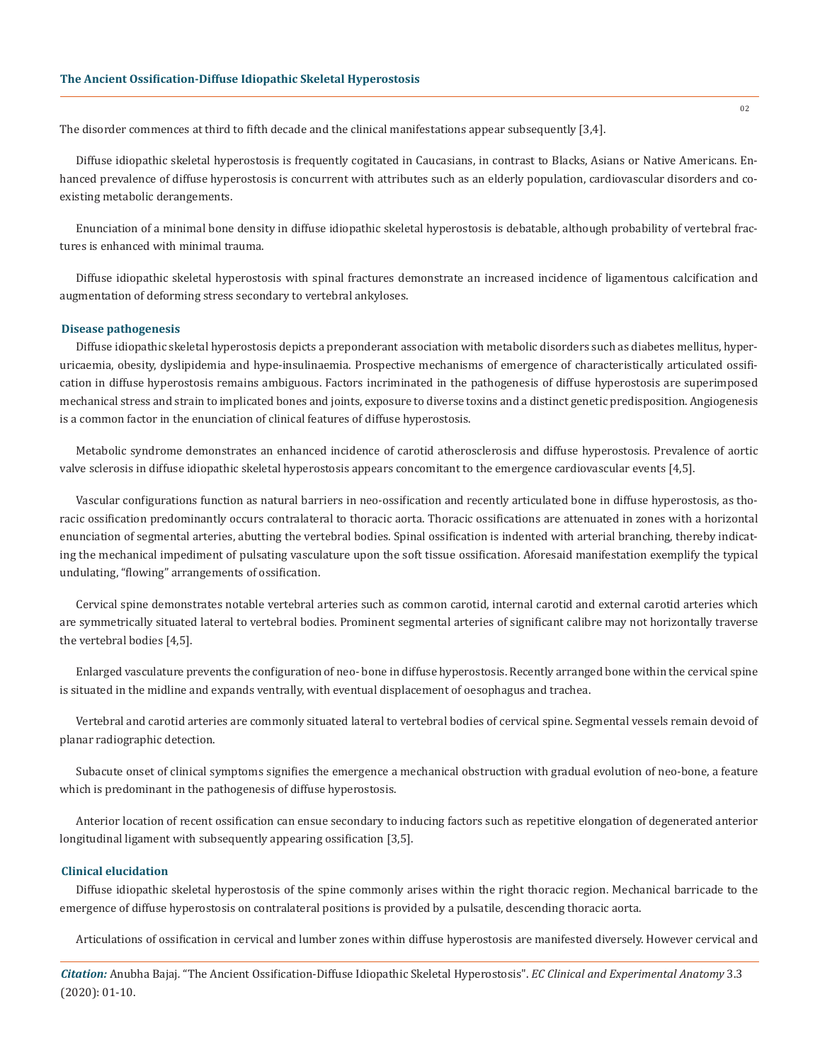The disorder commences at third to fifth decade and the clinical manifestations appear subsequently [3,4].

Diffuse idiopathic skeletal hyperostosis is frequently cogitated in Caucasians, in contrast to Blacks, Asians or Native Americans. Enhanced prevalence of diffuse hyperostosis is concurrent with attributes such as an elderly population, cardiovascular disorders and coexisting metabolic derangements.

Enunciation of a minimal bone density in diffuse idiopathic skeletal hyperostosis is debatable, although probability of vertebral fractures is enhanced with minimal trauma.

Diffuse idiopathic skeletal hyperostosis with spinal fractures demonstrate an increased incidence of ligamentous calcification and augmentation of deforming stress secondary to vertebral ankyloses.

#### **Disease pathogenesis**

Diffuse idiopathic skeletal hyperostosis depicts a preponderant association with metabolic disorders such as diabetes mellitus, hyperuricaemia, obesity, dyslipidemia and hype-insulinaemia. Prospective mechanisms of emergence of characteristically articulated ossification in diffuse hyperostosis remains ambiguous. Factors incriminated in the pathogenesis of diffuse hyperostosis are superimposed mechanical stress and strain to implicated bones and joints, exposure to diverse toxins and a distinct genetic predisposition. Angiogenesis is a common factor in the enunciation of clinical features of diffuse hyperostosis.

Metabolic syndrome demonstrates an enhanced incidence of carotid atherosclerosis and diffuse hyperostosis. Prevalence of aortic valve sclerosis in diffuse idiopathic skeletal hyperostosis appears concomitant to the emergence cardiovascular events [4,5].

Vascular configurations function as natural barriers in neo-ossification and recently articulated bone in diffuse hyperostosis, as thoracic ossification predominantly occurs contralateral to thoracic aorta. Thoracic ossifications are attenuated in zones with a horizontal enunciation of segmental arteries, abutting the vertebral bodies. Spinal ossification is indented with arterial branching, thereby indicating the mechanical impediment of pulsating vasculature upon the soft tissue ossification. Aforesaid manifestation exemplify the typical undulating, "flowing" arrangements of ossification.

Cervical spine demonstrates notable vertebral arteries such as common carotid, internal carotid and external carotid arteries which are symmetrically situated lateral to vertebral bodies. Prominent segmental arteries of significant calibre may not horizontally traverse the vertebral bodies [4,5].

Enlarged vasculature prevents the configuration of neo- bone in diffuse hyperostosis. Recently arranged bone within the cervical spine is situated in the midline and expands ventrally, with eventual displacement of oesophagus and trachea.

Vertebral and carotid arteries are commonly situated lateral to vertebral bodies of cervical spine. Segmental vessels remain devoid of planar radiographic detection.

Subacute onset of clinical symptoms signifies the emergence a mechanical obstruction with gradual evolution of neo-bone, a feature which is predominant in the pathogenesis of diffuse hyperostosis.

Anterior location of recent ossification can ensue secondary to inducing factors such as repetitive elongation of degenerated anterior longitudinal ligament with subsequently appearing ossification [3,5].

#### **Clinical elucidation**

Diffuse idiopathic skeletal hyperostosis of the spine commonly arises within the right thoracic region. Mechanical barricade to the emergence of diffuse hyperostosis on contralateral positions is provided by a pulsatile, descending thoracic aorta.

Articulations of ossification in cervical and lumber zones within diffuse hyperostosis are manifested diversely. However cervical and

*Citation:* Anubha Bajaj*.* "The Ancient Ossification-Diffuse Idiopathic Skeletal Hyperostosis". *EC Clinical and Experimental Anatomy* 3.3 (2020): 01-10.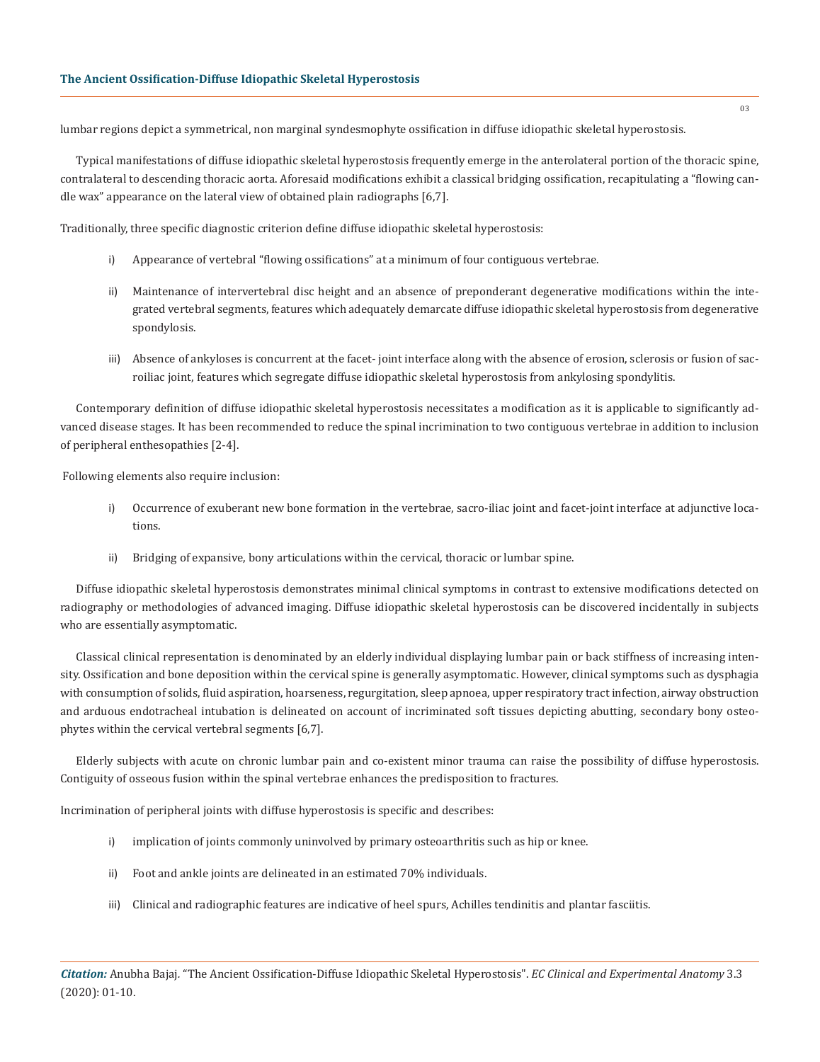lumbar regions depict a symmetrical, non marginal syndesmophyte ossification in diffuse idiopathic skeletal hyperostosis.

Typical manifestations of diffuse idiopathic skeletal hyperostosis frequently emerge in the anterolateral portion of the thoracic spine, contralateral to descending thoracic aorta. Aforesaid modifications exhibit a classical bridging ossification, recapitulating a "flowing candle wax" appearance on the lateral view of obtained plain radiographs [6,7].

Traditionally, three specific diagnostic criterion define diffuse idiopathic skeletal hyperostosis:

- i) Appearance of vertebral "flowing ossifications" at a minimum of four contiguous vertebrae.
- ii) Maintenance of intervertebral disc height and an absence of preponderant degenerative modifications within the integrated vertebral segments, features which adequately demarcate diffuse idiopathic skeletal hyperostosis from degenerative spondylosis.
- iii) Absence of ankyloses is concurrent at the facet- joint interface along with the absence of erosion, sclerosis or fusion of sacroiliac joint, features which segregate diffuse idiopathic skeletal hyperostosis from ankylosing spondylitis.

Contemporary definition of diffuse idiopathic skeletal hyperostosis necessitates a modification as it is applicable to significantly advanced disease stages. It has been recommended to reduce the spinal incrimination to two contiguous vertebrae in addition to inclusion of peripheral enthesopathies [2-4].

Following elements also require inclusion:

- i) Occurrence of exuberant new bone formation in the vertebrae, sacro-iliac joint and facet-joint interface at adjunctive locations.
- ii) Bridging of expansive, bony articulations within the cervical, thoracic or lumbar spine.

Diffuse idiopathic skeletal hyperostosis demonstrates minimal clinical symptoms in contrast to extensive modifications detected on radiography or methodologies of advanced imaging. Diffuse idiopathic skeletal hyperostosis can be discovered incidentally in subjects who are essentially asymptomatic.

Classical clinical representation is denominated by an elderly individual displaying lumbar pain or back stiffness of increasing intensity. Ossification and bone deposition within the cervical spine is generally asymptomatic. However, clinical symptoms such as dysphagia with consumption of solids, fluid aspiration, hoarseness, regurgitation, sleep apnoea, upper respiratory tract infection, airway obstruction and arduous endotracheal intubation is delineated on account of incriminated soft tissues depicting abutting, secondary bony osteophytes within the cervical vertebral segments [6,7].

Elderly subjects with acute on chronic lumbar pain and co-existent minor trauma can raise the possibility of diffuse hyperostosis. Contiguity of osseous fusion within the spinal vertebrae enhances the predisposition to fractures.

Incrimination of peripheral joints with diffuse hyperostosis is specific and describes:

- i) implication of joints commonly uninvolved by primary osteoarthritis such as hip or knee.
- ii) Foot and ankle joints are delineated in an estimated 70% individuals.
- iii) Clinical and radiographic features are indicative of heel spurs, Achilles tendinitis and plantar fasciitis.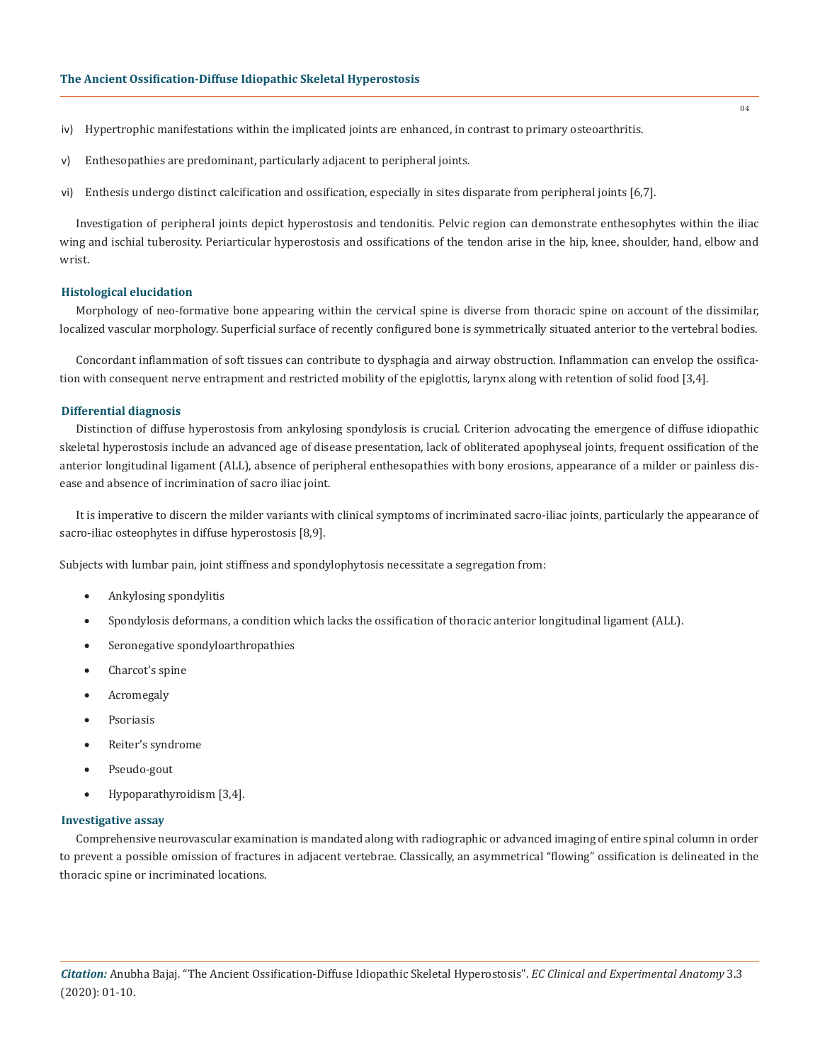- iv) Hypertrophic manifestations within the implicated joints are enhanced, in contrast to primary osteoarthritis.
- v) Enthesopathies are predominant, particularly adjacent to peripheral joints.
- vi) Enthesis undergo distinct calcification and ossification, especially in sites disparate from peripheral joints [6,7].

Investigation of peripheral joints depict hyperostosis and tendonitis. Pelvic region can demonstrate enthesophytes within the iliac wing and ischial tuberosity. Periarticular hyperostosis and ossifications of the tendon arise in the hip, knee, shoulder, hand, elbow and wrist.

#### **Histological elucidation**

Morphology of neo-formative bone appearing within the cervical spine is diverse from thoracic spine on account of the dissimilar, localized vascular morphology. Superficial surface of recently configured bone is symmetrically situated anterior to the vertebral bodies.

Concordant inflammation of soft tissues can contribute to dysphagia and airway obstruction. Inflammation can envelop the ossification with consequent nerve entrapment and restricted mobility of the epiglottis, larynx along with retention of solid food [3,4].

#### **Differential diagnosis**

Distinction of diffuse hyperostosis from ankylosing spondylosis is crucial. Criterion advocating the emergence of diffuse idiopathic skeletal hyperostosis include an advanced age of disease presentation, lack of obliterated apophyseal joints, frequent ossification of the anterior longitudinal ligament (ALL), absence of peripheral enthesopathies with bony erosions, appearance of a milder or painless disease and absence of incrimination of sacro iliac joint.

It is imperative to discern the milder variants with clinical symptoms of incriminated sacro-iliac joints, particularly the appearance of sacro-iliac osteophytes in diffuse hyperostosis [8,9].

Subjects with lumbar pain, joint stiffness and spondylophytosis necessitate a segregation from:

- Ankylosing spondylitis
- • Spondylosis deformans, a condition which lacks the ossification of thoracic anterior longitudinal ligament (ALL).
- • Seronegative spondyloarthropathies
- Charcot's spine
- **Acromegaly**
- **Psoriasis**
- • Reiter's syndrome
- Pseudo-gout
- • Hypoparathyroidism [3,4].

#### **Investigative assay**

Comprehensive neurovascular examination is mandated along with radiographic or advanced imaging of entire spinal column in order to prevent a possible omission of fractures in adjacent vertebrae. Classically, an asymmetrical "flowing" ossification is delineated in the thoracic spine or incriminated locations.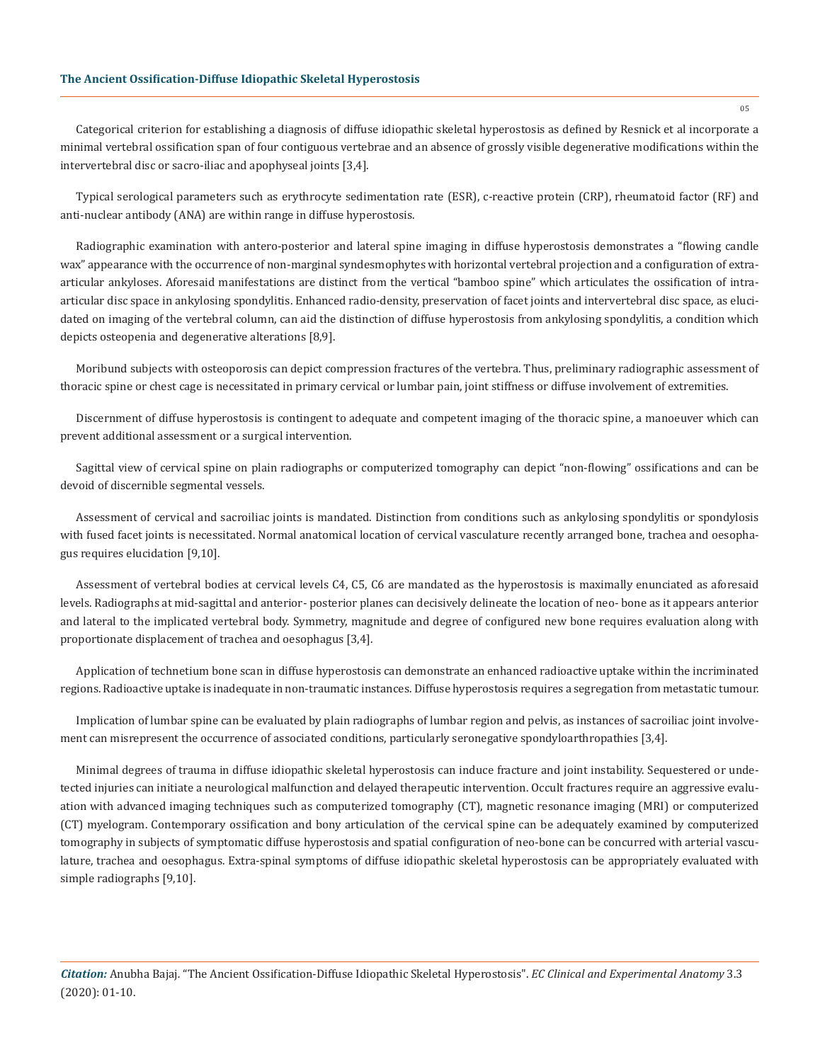# **The Ancient Ossification-Diffuse Idiopathic Skeletal Hyperostosis**

Categorical criterion for establishing a diagnosis of diffuse idiopathic skeletal hyperostosis as defined by Resnick et al incorporate a minimal vertebral ossification span of four contiguous vertebrae and an absence of grossly visible degenerative modifications within the intervertebral disc or sacro-iliac and apophyseal joints [3,4].

Typical serological parameters such as erythrocyte sedimentation rate (ESR), c-reactive protein (CRP), rheumatoid factor (RF) and anti-nuclear antibody (ANA) are within range in diffuse hyperostosis.

Radiographic examination with antero-posterior and lateral spine imaging in diffuse hyperostosis demonstrates a "flowing candle wax" appearance with the occurrence of non-marginal syndesmophytes with horizontal vertebral projection and a configuration of extraarticular ankyloses. Aforesaid manifestations are distinct from the vertical "bamboo spine" which articulates the ossification of intraarticular disc space in ankylosing spondylitis. Enhanced radio-density, preservation of facet joints and intervertebral disc space, as elucidated on imaging of the vertebral column, can aid the distinction of diffuse hyperostosis from ankylosing spondylitis, a condition which depicts osteopenia and degenerative alterations [8,9].

Moribund subjects with osteoporosis can depict compression fractures of the vertebra. Thus, preliminary radiographic assessment of thoracic spine or chest cage is necessitated in primary cervical or lumbar pain, joint stiffness or diffuse involvement of extremities.

Discernment of diffuse hyperostosis is contingent to adequate and competent imaging of the thoracic spine, a manoeuver which can prevent additional assessment or a surgical intervention.

Sagittal view of cervical spine on plain radiographs or computerized tomography can depict "non-flowing" ossifications and can be devoid of discernible segmental vessels.

Assessment of cervical and sacroiliac joints is mandated. Distinction from conditions such as ankylosing spondylitis or spondylosis with fused facet joints is necessitated. Normal anatomical location of cervical vasculature recently arranged bone, trachea and oesophagus requires elucidation [9,10].

Assessment of vertebral bodies at cervical levels C4, C5, C6 are mandated as the hyperostosis is maximally enunciated as aforesaid levels. Radiographs at mid-sagittal and anterior- posterior planes can decisively delineate the location of neo- bone as it appears anterior and lateral to the implicated vertebral body. Symmetry, magnitude and degree of configured new bone requires evaluation along with proportionate displacement of trachea and oesophagus [3,4].

Application of technetium bone scan in diffuse hyperostosis can demonstrate an enhanced radioactive uptake within the incriminated regions. Radioactive uptake is inadequate in non-traumatic instances. Diffuse hyperostosis requires a segregation from metastatic tumour.

Implication of lumbar spine can be evaluated by plain radiographs of lumbar region and pelvis, as instances of sacroiliac joint involvement can misrepresent the occurrence of associated conditions, particularly seronegative spondyloarthropathies [3,4].

Minimal degrees of trauma in diffuse idiopathic skeletal hyperostosis can induce fracture and joint instability. Sequestered or undetected injuries can initiate a neurological malfunction and delayed therapeutic intervention. Occult fractures require an aggressive evaluation with advanced imaging techniques such as computerized tomography (CT), magnetic resonance imaging (MRI) or computerized (CT) myelogram. Contemporary ossification and bony articulation of the cervical spine can be adequately examined by computerized tomography in subjects of symptomatic diffuse hyperostosis and spatial configuration of neo-bone can be concurred with arterial vasculature, trachea and oesophagus. Extra-spinal symptoms of diffuse idiopathic skeletal hyperostosis can be appropriately evaluated with simple radiographs [9,10].

*Citation:* Anubha Bajaj*.* "The Ancient Ossification-Diffuse Idiopathic Skeletal Hyperostosis". *EC Clinical and Experimental Anatomy* 3.3 (2020): 01-10.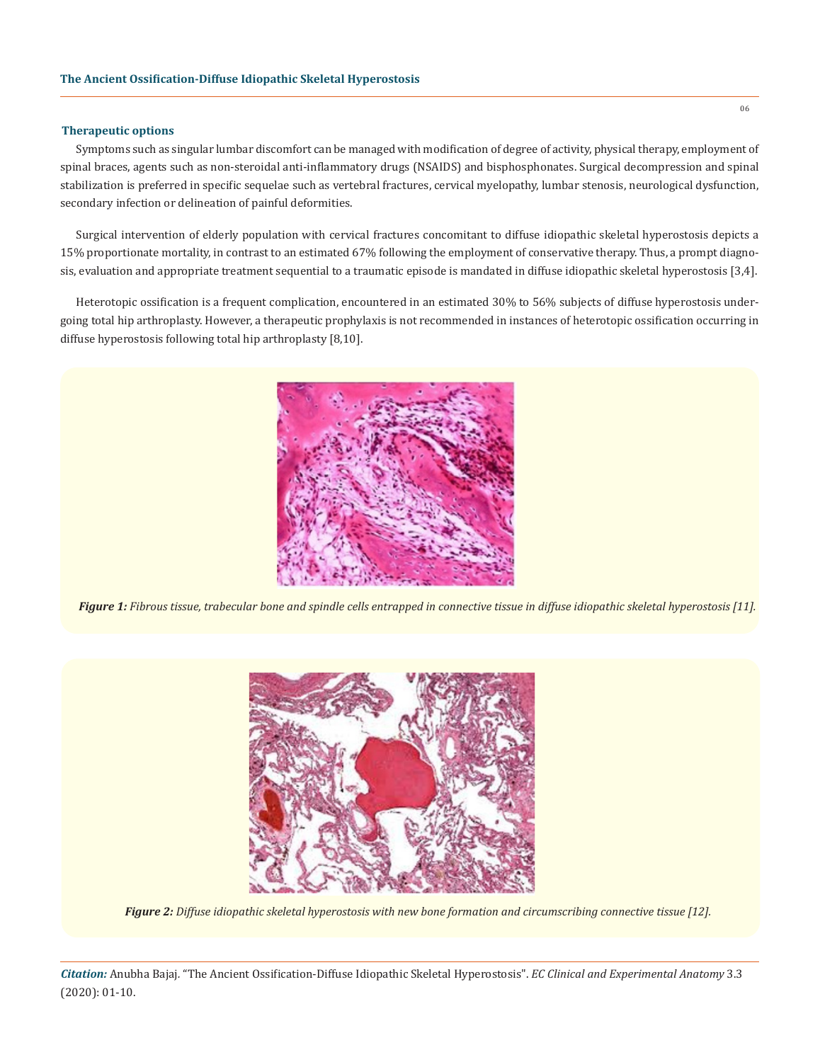### **Therapeutic options**

Symptoms such as singular lumbar discomfort can be managed with modification of degree of activity, physical therapy, employment of spinal braces, agents such as non-steroidal anti-inflammatory drugs (NSAIDS) and bisphosphonates. Surgical decompression and spinal stabilization is preferred in specific sequelae such as vertebral fractures, cervical myelopathy, lumbar stenosis, neurological dysfunction, secondary infection or delineation of painful deformities.

Surgical intervention of elderly population with cervical fractures concomitant to diffuse idiopathic skeletal hyperostosis depicts a 15% proportionate mortality, in contrast to an estimated 67% following the employment of conservative therapy. Thus, a prompt diagnosis, evaluation and appropriate treatment sequential to a traumatic episode is mandated in diffuse idiopathic skeletal hyperostosis [3,4].

Heterotopic ossification is a frequent complication, encountered in an estimated 30% to 56% subjects of diffuse hyperostosis undergoing total hip arthroplasty. However, a therapeutic prophylaxis is not recommended in instances of heterotopic ossification occurring in diffuse hyperostosis following total hip arthroplasty [8,10].



*Figure 1: Fibrous tissue, trabecular bone and spindle cells entrapped in connective tissue in diffuse idiopathic skeletal hyperostosis [11].* 



*Figure 2: Diffuse idiopathic skeletal hyperostosis with new bone formation and circumscribing connective tissue [12].* 

*Citation:* Anubha Bajaj*.* "The Ancient Ossification-Diffuse Idiopathic Skeletal Hyperostosis". *EC Clinical and Experimental Anatomy* 3.3 (2020): 01-10.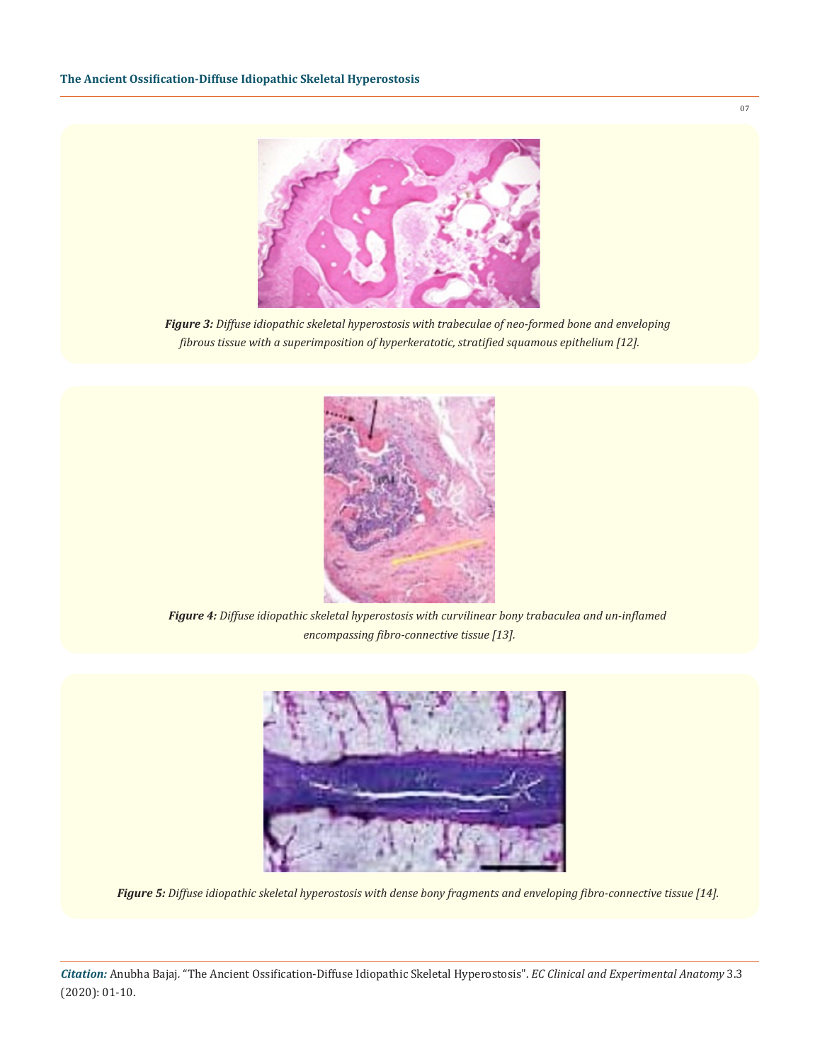

*Figure 3: Diffuse idiopathic skeletal hyperostosis with trabeculae of neo-formed bone and enveloping fibrous tissue with a superimposition of hyperkeratotic, stratified squamous epithelium [12].*



*Figure 4: Diffuse idiopathic skeletal hyperostosis with curvilinear bony trabaculea and un-inflamed encompassing fibro-connective tissue [13].* 



*Figure 5: Diffuse idiopathic skeletal hyperostosis with dense bony fragments and enveloping fibro-connective tissue [14].* 

*Citation:* Anubha Bajaj*.* "The Ancient Ossification-Diffuse Idiopathic Skeletal Hyperostosis". *EC Clinical and Experimental Anatomy* 3.3 (2020): 01-10.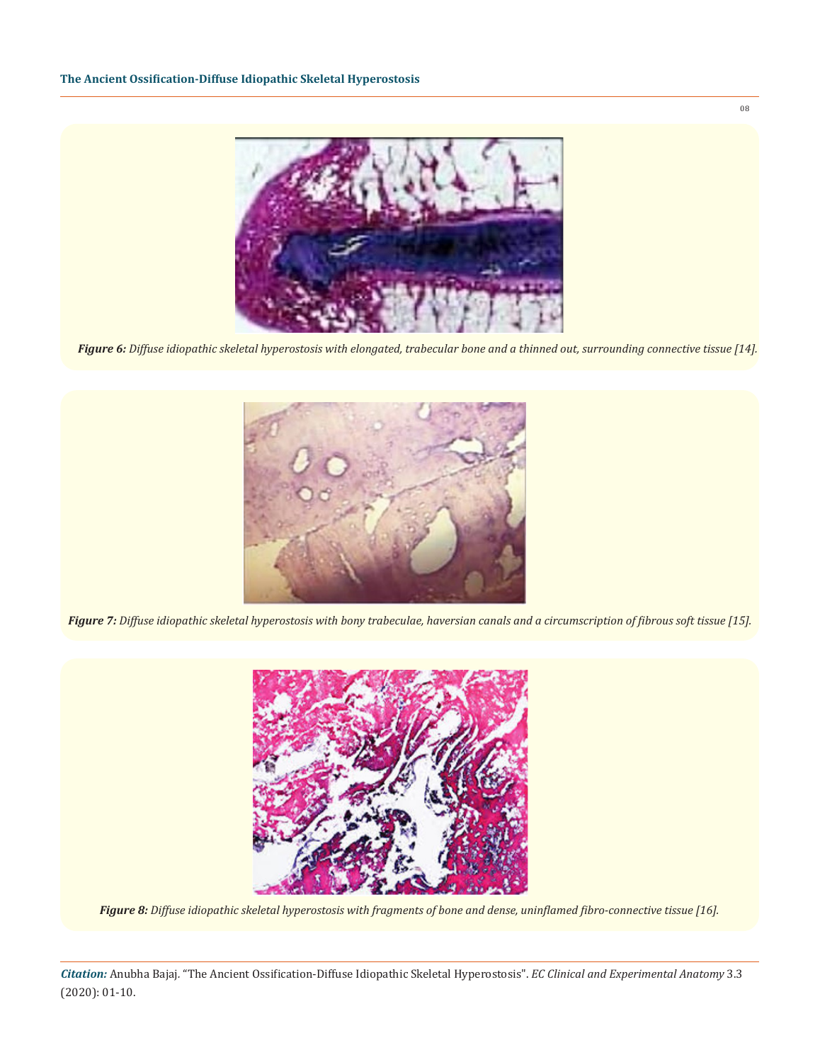

*Figure 6: Diffuse idiopathic skeletal hyperostosis with elongated, trabecular bone and a thinned out, surrounding connective tissue [14].*



*Figure 7: Diffuse idiopathic skeletal hyperostosis with bony trabeculae, haversian canals and a circumscription of fibrous soft tissue [15].*



*Figure 8: Diffuse idiopathic skeletal hyperostosis with fragments of bone and dense, uninflamed fibro-connective tissue [16].* 

*Citation:* Anubha Bajaj*.* "The Ancient Ossification-Diffuse Idiopathic Skeletal Hyperostosis". *EC Clinical and Experimental Anatomy* 3.3 (2020): 01-10.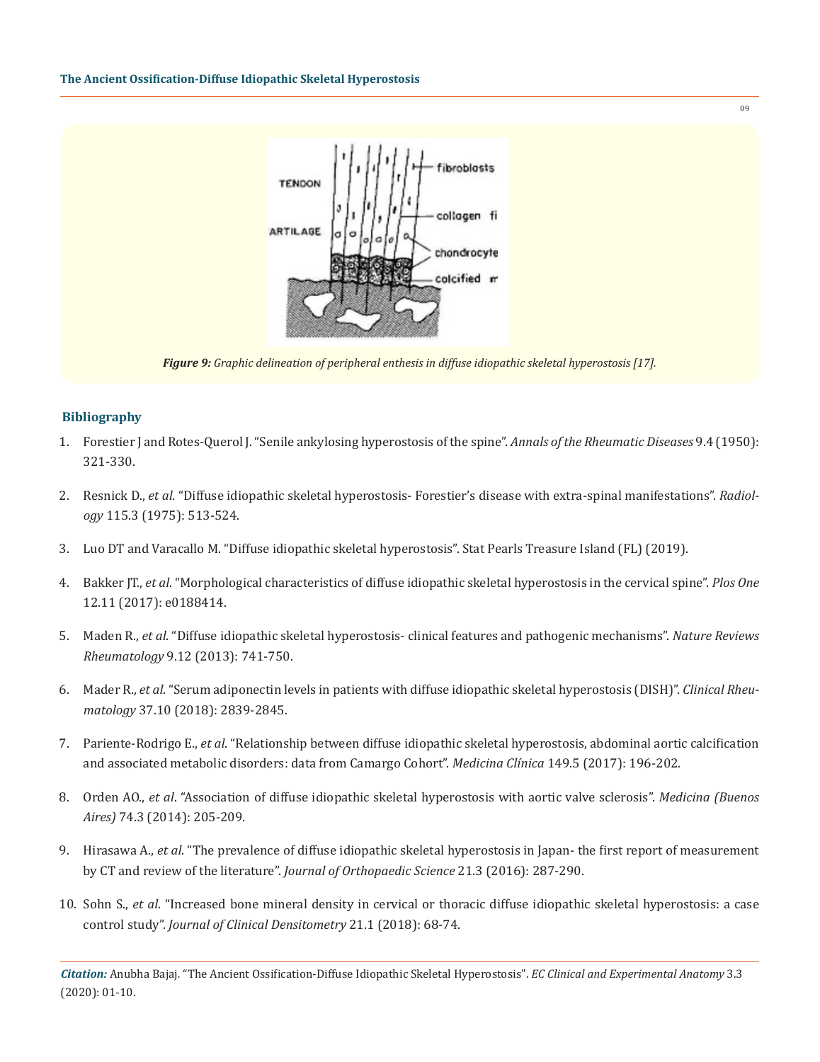

*Figure 9: Graphic delineation of peripheral enthesis in diffuse idiopathic skeletal hyperostosis [17].* 

# **Bibliography**

- 1. [Forestier J and Rotes-Querol J. "Senile ankylosing hyperostosis of the spine".](https://www.ncbi.nlm.nih.gov/pmc/articles/PMC1011670/) *Annals of the Rheumatic Diseases* 9.4 (1950): [321-330.](https://www.ncbi.nlm.nih.gov/pmc/articles/PMC1011670/)
- 2. Resnick D., *et al*[. "Diffuse idiopathic skeletal hyperostosis- Forestier's disease with extra-spinal manifestations".](https://www.ncbi.nlm.nih.gov/pubmed/1129458) *Radiology* [115.3 \(1975\): 513-524.](https://www.ncbi.nlm.nih.gov/pubmed/1129458)
- 3. [Luo DT and Varacallo M. "Diffuse idiopathic skeletal hyperostosis". Stat Pearls Treasure Island \(FL\) \(2019\).](https://www.ncbi.nlm.nih.gov/books/NBK538204/)
- 4. Bakker JT., *et al*[. "Morphological characteristics of diffuse idiopathic skeletal hyperostosis in the cervical spine".](https://www.ncbi.nlm.nih.gov/pmc/articles/PMC5695822/) *Plos One*  [12.11 \(2017\): e0188414.](https://www.ncbi.nlm.nih.gov/pmc/articles/PMC5695822/)
- 5. Maden R., *et al*[. "Diffuse idiopathic skeletal hyperostosis- clinical features and pathogenic mechanisms".](https://www.ncbi.nlm.nih.gov/pubmed/24189840) *Nature Reviews Rheumatology* [9.12 \(2013\): 741-750.](https://www.ncbi.nlm.nih.gov/pubmed/24189840)
- 6. Mader R., *et al*[. "Serum adiponectin levels in patients with diffuse idiopathic skeletal hyperostosis \(DISH\)".](https://www.ncbi.nlm.nih.gov/pubmed/30121711) *Clinical Rheumatology* [37.10 \(2018\): 2839-2845.](https://www.ncbi.nlm.nih.gov/pubmed/30121711)
- 7. Pariente-Rodrigo E., *et al*[. "Relationship between diffuse idiopathic skeletal hyperostosis, abdominal aortic calcification](https://www.ncbi.nlm.nih.gov/pubmed/28283270) [and associated metabolic disorders: data from Camargo Cohort".](https://www.ncbi.nlm.nih.gov/pubmed/28283270) *Medicina Clínica* 149.5 (2017): 196-202.
- 8. Orden AO., *et al*[. "Association of diffuse idiopathic skeletal hyperostosis with aortic valve sclerosis".](https://www.ncbi.nlm.nih.gov/pubmed/24918668) *Medicina (Buenos Aires)* [74.3 \(2014\): 205-209.](https://www.ncbi.nlm.nih.gov/pubmed/24918668)
- 9. Hirasawa A., *et al*[. "The prevalence of diffuse idiopathic skeletal hyperostosis in Japan- the first report of measurement](https://www.ncbi.nlm.nih.gov/pubmed/26948246) [by CT and review of the literature".](https://www.ncbi.nlm.nih.gov/pubmed/26948246) *Journal of Orthopaedic Science* 21.3 (2016): 287-290.
- 10. Sohn S., *et al*[. "Increased bone mineral density in cervical or thoracic diffuse idiopathic skeletal hyperostosis: a case](https://www.ncbi.nlm.nih.gov/pubmed/27712986) control study". *[Journal of Clinical Densitometry](https://www.ncbi.nlm.nih.gov/pubmed/27712986)* 21.1 (2018): 68-74.

*Citation:* Anubha Bajaj*.* "The Ancient Ossification-Diffuse Idiopathic Skeletal Hyperostosis". *EC Clinical and Experimental Anatomy* 3.3 (2020): 01-10.